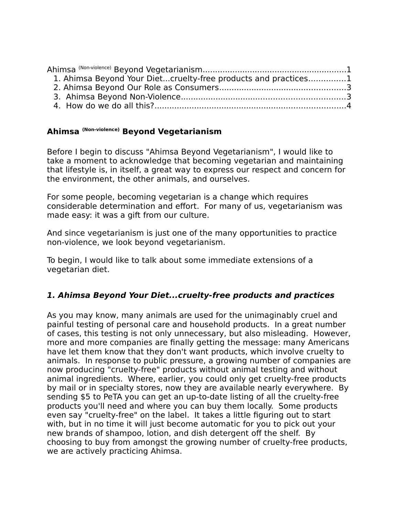| 1. Ahimsa Beyond Your Dietcruelty-free products and practices1 |  |
|----------------------------------------------------------------|--|
|                                                                |  |
|                                                                |  |
|                                                                |  |

### <span id="page-0-0"></span>**Ahimsa (Non-violence) Beyond Vegetarianism**

Before I begin to discuss "Ahimsa Beyond Vegetarianism", I would like to take a moment to acknowledge that becoming vegetarian and maintaining that lifestyle is, in itself, a great way to express our respect and concern for the environment, the other animals, and ourselves.

For some people, becoming vegetarian is a change which requires considerable determination and effort. For many of us, vegetarianism was made easy: it was a gift from our culture.

And since vegetarianism is just one of the many opportunities to practice non-violence, we look beyond vegetarianism.

To begin, I would like to talk about some immediate extensions of a vegetarian diet.

### <span id="page-0-1"></span>**1. Ahimsa Beyond Your Diet...cruelty-free products and practices**

As you may know, many animals are used for the unimaginably cruel and painful testing of personal care and household products. In a great number of cases, this testing is not only unnecessary, but also misleading. However, more and more companies are finally getting the message: many Americans have let them know that they don't want products, which involve cruelty to animals. In response to public pressure, a growing number of companies are now producing "cruelty-free" products without animal testing and without animal ingredients. Where, earlier, you could only get cruelty-free products by mail or in specialty stores, now they are available nearly everywhere. By sending \$5 to PeTA you can get an up-to-date listing of all the cruelty-free products you'll need and where you can buy them locally. Some products even say "cruelty-free" on the label. It takes a little figuring out to start with, but in no time it will just become automatic for you to pick out your new brands of shampoo, lotion, and dish detergent off the shelf. By choosing to buy from amongst the growing number of cruelty-free products, we are actively practicing Ahimsa.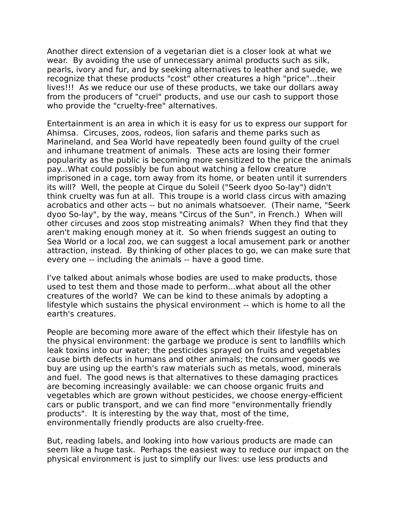Another direct extension of a vegetarian diet is a closer look at what we wear. By avoiding the use of unnecessary animal products such as silk, pearls, ivory and fur, and by seeking alternatives to leather and suede, we recognize that these products "cost" other creatures a high "price"...their lives!!! As we reduce our use of these products, we take our dollars away from the producers of "cruel" products, and use our cash to support those who provide the "cruelty-free" alternatives.

Entertainment is an area in which it is easy for us to express our support for Ahimsa. Circuses, zoos, rodeos, lion safaris and theme parks such as Marineland, and Sea World have repeatedly been found guilty of the cruel and inhumane treatment of animals. These acts are losing their former popularity as the public is becoming more sensitized to the price the animals pay...What could possibly be fun about watching a fellow creature imprisoned in a cage, torn away from its home, or beaten until it surrenders its will? Well, the people at Cirque du Soleil ("Seerk dyoo So-lay") didn't think cruelty was fun at all. This troupe is a world class circus with amazing acrobatics and other acts -- but no animals whatsoever. (Their name, "Seerk dyoo So-lay", by the way, means "Circus of the Sun", in French.) When will other circuses and zoos stop mistreating animals? When they find that they aren't making enough money at it. So when friends suggest an outing to Sea World or a local zoo, we can suggest a local amusement park or another attraction, instead. By thinking of other places to go, we can make sure that every one -- including the animals -- have a good time.

I've talked about animals whose bodies are used to make products, those used to test them and those made to perform...what about all the other creatures of the world? We can be kind to these animals by adopting a lifestyle which sustains the physical environment -- which is home to all the earth's creatures.

People are becoming more aware of the effect which their lifestyle has on the physical environment: the garbage we produce is sent to landfills which leak toxins into our water; the pesticides sprayed on fruits and vegetables cause birth defects in humans and other animals; the consumer goods we buy are using up the earth's raw materials such as metals, wood, minerals and fuel. The good news is that alternatives to these damaging practices are becoming increasingly available: we can choose organic fruits and vegetables which are grown without pesticides, we choose energy-efficient cars or public transport, and we can find more "environmentally friendly products". It is interesting by the way that, most of the time, environmentally friendly products are also cruelty-free.

But, reading labels, and looking into how various products are made can seem like a huge task. Perhaps the easiest way to reduce our impact on the physical environment is just to simplify our lives: use less products and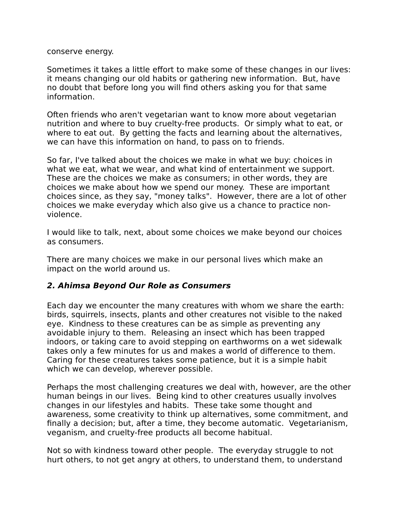conserve energy.

Sometimes it takes a little effort to make some of these changes in our lives: it means changing our old habits or gathering new information. But, have no doubt that before long you will find others asking you for that same information.

Often friends who aren't vegetarian want to know more about vegetarian nutrition and where to buy cruelty-free products. Or simply what to eat, or where to eat out. By getting the facts and learning about the alternatives, we can have this information on hand, to pass on to friends.

So far, I've talked about the choices we make in what we buy: choices in what we eat, what we wear, and what kind of entertainment we support. These are the choices we make as consumers; in other words, they are choices we make about how we spend our money. These are important choices since, as they say, "money talks". However, there are a lot of other choices we make everyday which also give us a chance to practice nonviolence.

I would like to talk, next, about some choices we make beyond our choices as consumers.

There are many choices we make in our personal lives which make an impact on the world around us.

#### <span id="page-2-0"></span>**2. Ahimsa Beyond Our Role as Consumers**

Each day we encounter the many creatures with whom we share the earth: birds, squirrels, insects, plants and other creatures not visible to the naked eye. Kindness to these creatures can be as simple as preventing any avoidable injury to them. Releasing an insect which has been trapped indoors, or taking care to avoid stepping on earthworms on a wet sidewalk takes only a few minutes for us and makes a world of difference to them. Caring for these creatures takes some patience, but it is a simple habit which we can develop, wherever possible.

Perhaps the most challenging creatures we deal with, however, are the other human beings in our lives. Being kind to other creatures usually involves changes in our lifestyles and habits. These take some thought and awareness, some creativity to think up alternatives, some commitment, and finally a decision; but, after a time, they become automatic. Vegetarianism, veganism, and cruelty-free products all become habitual.

Not so with kindness toward other people. The everyday struggle to not hurt others, to not get angry at others, to understand them, to understand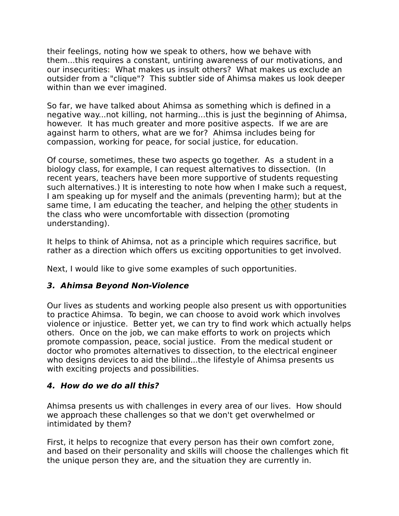their feelings, noting how we speak to others, how we behave with them...this requires a constant, untiring awareness of our motivations, and our insecurities: What makes us insult others? What makes us exclude an outsider from a "clique"? This subtler side of Ahimsa makes us look deeper within than we ever imagined.

So far, we have talked about Ahimsa as something which is defined in a negative way...not killing, not harming...this is just the beginning of Ahimsa, however. It has much greater and more positive aspects. If we are are against harm to others, what are we for? Ahimsa includes being for compassion, working for peace, for social justice, for education.

Of course, sometimes, these two aspects go together. As a student in a biology class, for example, I can request alternatives to dissection. (In recent years, teachers have been more supportive of students requesting such alternatives.) It is interesting to note how when I make such a request, I am speaking up for myself and the animals (preventing harm); but at the same time, I am educating the teacher, and helping the other students in the class who were uncomfortable with dissection (promoting understanding).

It helps to think of Ahimsa, not as a principle which requires sacrifice, but rather as a direction which offers us exciting opportunities to get involved.

Next, I would like to give some examples of such opportunities.

# <span id="page-3-1"></span>**3. Ahimsa Beyond Non-Violence**

Our lives as students and working people also present us with opportunities to practice Ahimsa. To begin, we can choose to avoid work which involves violence or injustice. Better yet, we can try to find work which actually helps others. Once on the job, we can make efforts to work on projects which promote compassion, peace, social justice. From the medical student or doctor who promotes alternatives to dissection, to the electrical engineer who designs devices to aid the blind...the lifestyle of Ahimsa presents us with exciting projects and possibilities.

# <span id="page-3-0"></span>**4. How do we do all this?**

Ahimsa presents us with challenges in every area of our lives. How should we approach these challenges so that we don't get overwhelmed or intimidated by them?

First, it helps to recognize that every person has their own comfort zone, and based on their personality and skills will choose the challenges which fit the unique person they are, and the situation they are currently in.